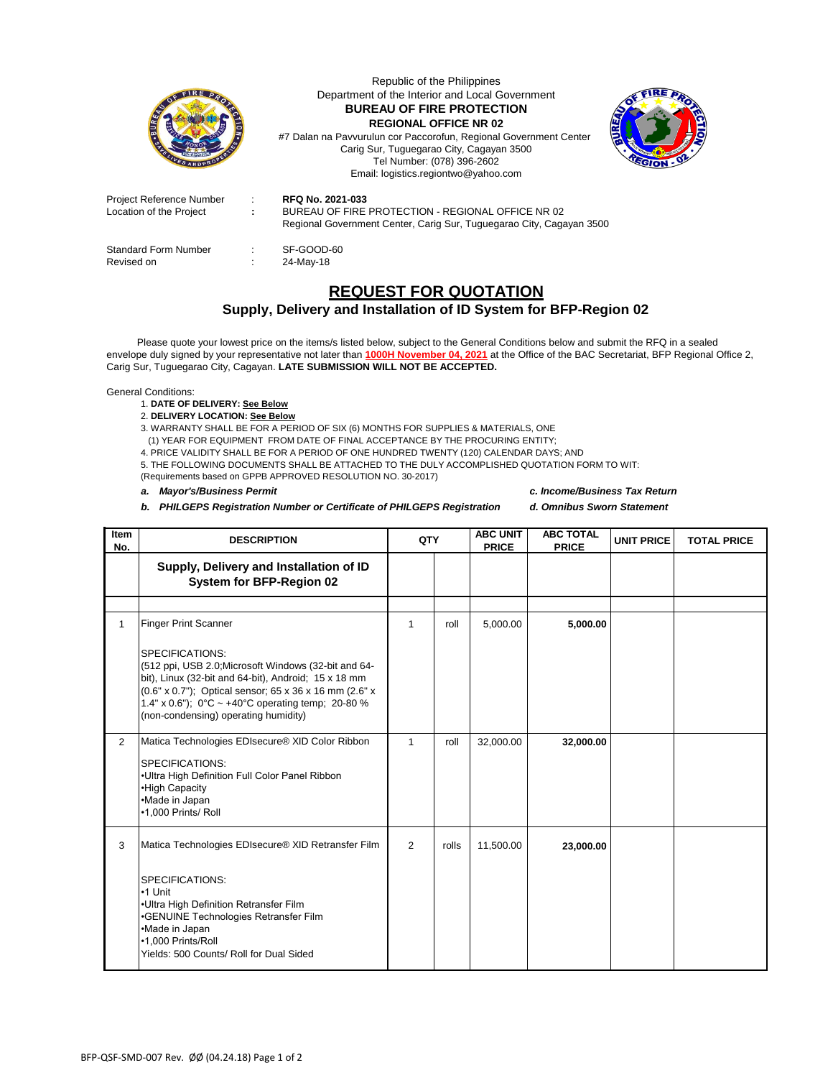

Republic of the Philippines Department of the Interior and Local Government **BUREAU OF FIRE PROTECTION REGIONAL OFFICE NR 02**

#7 Dalan na Pavvurulun cor Paccorofun, Regional Government Center Carig Sur, Tuguegarao City, Cagayan 3500 Tel Number: (078) 396-2602 Email: logistics.regiontwo@yahoo.com



| Project Reference Number<br>Location of the Project | it is<br>t. | <b>RFQ No. 2021-033</b><br>BUREAU OF FIRE PROTECTION - REGIONAL OFFICE NR 02<br>Regional Government Center, Carig Sur, Tuguegarao City, Cagayan 3500 |
|-----------------------------------------------------|-------------|------------------------------------------------------------------------------------------------------------------------------------------------------|
| <b>Standard Form Number</b><br>Revised on           | ÷.          | SF-GOOD-60<br>24-May-18                                                                                                                              |

## **REQUEST FOR QUOTATION**

## **Supply, Delivery and Installation of ID System for BFP-Region 02**

 Please quote your lowest price on the items/s listed below, subject to the General Conditions below and submit the RFQ in a sealed envelope duly signed by your representative not later than **1000H November 04, 2021** at the Office of the BAC Secretariat, BFP Regional Office 2, Carig Sur, Tuguegarao City, Cagayan. **LATE SUBMISSION WILL NOT BE ACCEPTED.**

General Conditions:

- 1. **DATE OF DELIVERY: See Below**
- 2. **DELIVERY LOCATION: See Below**

3. WARRANTY SHALL BE FOR A PERIOD OF SIX (6) MONTHS FOR SUPPLIES & MATERIALS, ONE

(1) YEAR FOR EQUIPMENT FROM DATE OF FINAL ACCEPTANCE BY THE PROCURING ENTITY;

4. PRICE VALIDITY SHALL BE FOR A PERIOD OF ONE HUNDRED TWENTY (120) CALENDAR DAYS; AND

5. THE FOLLOWING DOCUMENTS SHALL BE ATTACHED TO THE DULY ACCOMPLISHED QUOTATION FORM TO WIT: (Requirements based on GPPB APPROVED RESOLUTION NO. 30-2017)

## *a. Mayor's/Business Permit c. Income/Business Tax Return*

*b. PHILGEPS Registration Number or Certificate of PHILGEPS Registration d. Omnibus Sworn Statement*

| <b>Item</b><br>No. | <b>DESCRIPTION</b>                                                                                                                                                                                                                                                                                                                     | QTY |       | <b>ABC UNIT</b><br><b>PRICE</b> | <b>ABC TOTAL</b><br><b>PRICE</b> | <b>UNIT PRICE</b> | <b>TOTAL PRICE</b> |
|--------------------|----------------------------------------------------------------------------------------------------------------------------------------------------------------------------------------------------------------------------------------------------------------------------------------------------------------------------------------|-----|-------|---------------------------------|----------------------------------|-------------------|--------------------|
|                    | Supply, Delivery and Installation of ID<br><b>System for BFP-Region 02</b>                                                                                                                                                                                                                                                             |     |       |                                 |                                  |                   |                    |
|                    |                                                                                                                                                                                                                                                                                                                                        |     |       |                                 |                                  |                   |                    |
| $\mathbf{1}$       | <b>Finger Print Scanner</b><br><b>SPECIFICATIONS:</b><br>(512 ppi, USB 2.0; Microsoft Windows (32-bit and 64-<br>bit), Linux (32-bit and 64-bit), Android; 15 x 18 mm<br>(0.6" x 0.7"); Optical sensor; 65 x 36 x 16 mm (2.6" x<br>1.4" x 0.6"); $0^{\circ}$ C ~ +40°C operating temp; 20-80 %<br>(non-condensing) operating humidity) | 1   | roll  | 5,000.00                        | 5,000.00                         |                   |                    |
| $\overline{2}$     | Matica Technologies EDIsecure® XID Color Ribbon<br><b>SPECIFICATIONS:</b><br>•Ultra High Definition Full Color Panel Ribbon<br>•High Capacity<br>•Made in Japan<br>•1,000 Prints/ Roll                                                                                                                                                 | 1   | roll  | 32,000.00                       | 32,000.00                        |                   |                    |
| 3                  | Matica Technologies EDIsecure® XID Retransfer Film<br><b>SPECIFICATIONS:</b><br>•1 Unit<br>.Ultra High Definition Retransfer Film<br>•GENUINE Technologies Retransfer Film<br>•Made in Japan<br>•1.000 Prints/Roll<br>Yields: 500 Counts/ Roll for Dual Sided                                                                          | 2   | rolls | 11,500.00                       | 23,000.00                        |                   |                    |